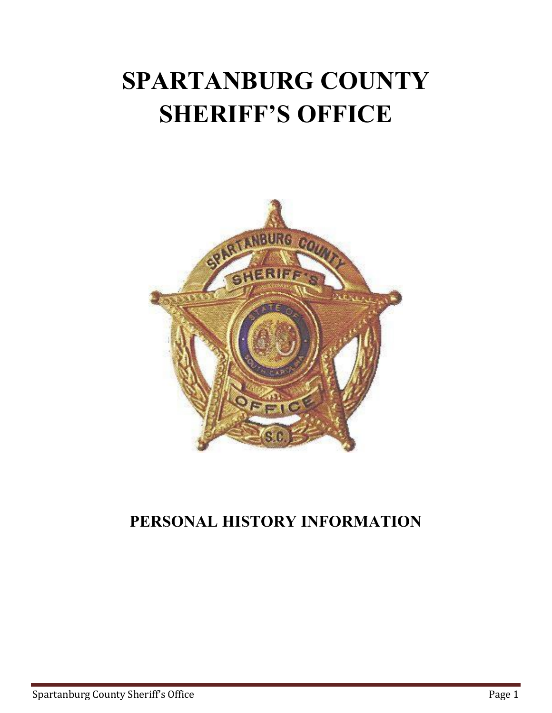# **SPARTANBURG COUNTY SHERIFF'S OFFICE**



# **PERSONAL HISTORY INFORMATION**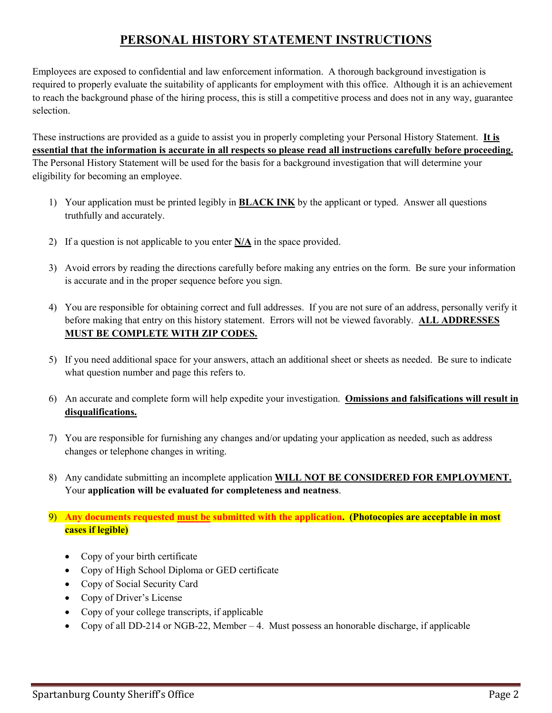## **PERSONAL HISTORY STATEMENT INSTRUCTIONS**

Employees are exposed to confidential and law enforcement information. A thorough background investigation is required to properly evaluate the suitability of applicants for employment with this office. Although it is an achievement to reach the background phase of the hiring process, this is still a competitive process and does not in any way, guarantee selection.

These instructions are provided as a guide to assist you in properly completing your Personal History Statement. **It is essential that the information is accurate in all respects so please read all instructions carefully before proceeding.** The Personal History Statement will be used for the basis for a background investigation that will determine your eligibility for becoming an employee.

- 1) Your application must be printed legibly in **BLACK INK** by the applicant or typed. Answer all questions truthfully and accurately.
- 2) If a question is not applicable to you enter **N/A** in the space provided.
- 3) Avoid errors by reading the directions carefully before making any entries on the form. Be sure your information is accurate and in the proper sequence before you sign.
- 4) You are responsible for obtaining correct and full addresses. If you are not sure of an address, personally verify it before making that entry on this history statement. Errors will not be viewed favorably. **ALL ADDRESSES MUST BE COMPLETE WITH ZIP CODES.**
- 5) If you need additional space for your answers, attach an additional sheet or sheets as needed. Be sure to indicate what question number and page this refers to.
- 6) An accurate and complete form will help expedite your investigation. **Omissions and falsifications will result in disqualifications.**
- 7) You are responsible for furnishing any changes and/or updating your application as needed, such as address changes or telephone changes in writing.
- 8) Any candidate submitting an incomplete application **WILL NOT BE CONSIDERED FOR EMPLOYMENT.** Your **application will be evaluated for completeness and neatness**.
- 9) **Any documents requested must be submitted with the application. (Photocopies are acceptable in most cases if legible)**
	- Copy of your birth certificate
	- Copy of High School Diploma or GED certificate
	- Copy of Social Security Card
	- Copy of Driver's License
	- Copy of your college transcripts, if applicable
	- Copy of all DD-214 or NGB-22, Member  $-4$ . Must possess an honorable discharge, if applicable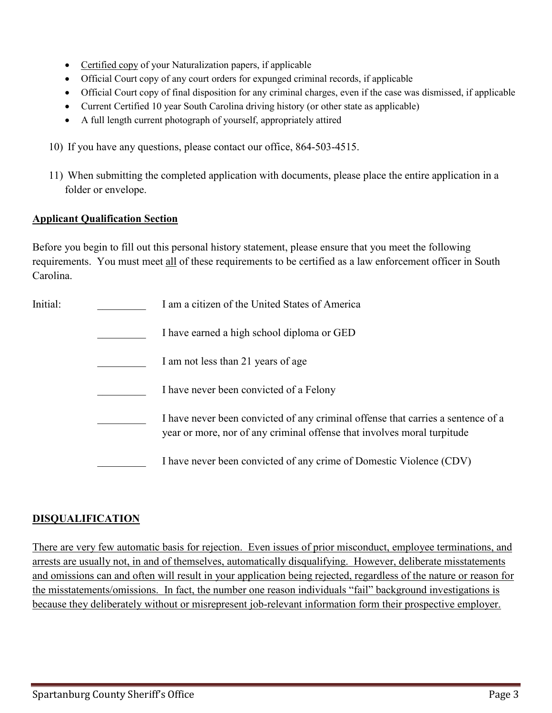- Certified copy of your Naturalization papers, if applicable
- Official Court copy of any court orders for expunged criminal records, if applicable
- Official Court copy of final disposition for any criminal charges, even if the case was dismissed, if applicable
- Current Certified 10 year South Carolina driving history (or other state as applicable)
- A full length current photograph of yourself, appropriately attired
- 10) If you have any questions, please contact our office, 864-503-4515.
- 11) When submitting the completed application with documents, please place the entire application in a folder or envelope.

#### **Applicant Qualification Section**

Before you begin to fill out this personal history statement, please ensure that you meet the following requirements. You must meet all of these requirements to be certified as a law enforcement officer in South Carolina.

| Initial: | I am a citizen of the United States of America                                                                                                              |
|----------|-------------------------------------------------------------------------------------------------------------------------------------------------------------|
|          | I have earned a high school diploma or GED                                                                                                                  |
|          | I am not less than 21 years of age                                                                                                                          |
|          | I have never been convicted of a Felony                                                                                                                     |
|          | I have never been convicted of any criminal offense that carries a sentence of a<br>year or more, nor of any criminal offense that involves moral turpitude |
|          | I have never been convicted of any crime of Domestic Violence (CDV)                                                                                         |

#### **DISQUALIFICATION**

There are very few automatic basis for rejection. Even issues of prior misconduct, employee terminations, and arrests are usually not, in and of themselves, automatically disqualifying. However, deliberate misstatements and omissions can and often will result in your application being rejected, regardless of the nature or reason for the misstatements/omissions. In fact, the number one reason individuals "fail" background investigations is because they deliberately without or misrepresent job-relevant information form their prospective employer.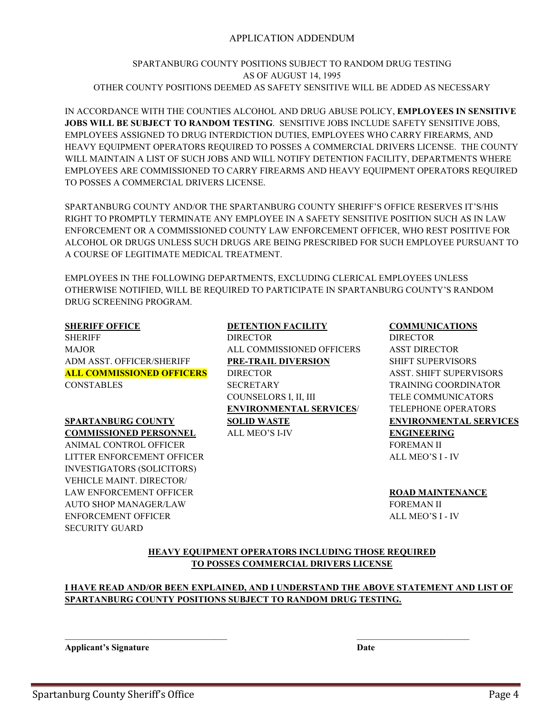#### APPLICATION ADDENDUM

#### SPARTANBURG COUNTY POSITIONS SUBJECT TO RANDOM DRUG TESTING AS OF AUGUST 14, 1995 OTHER COUNTY POSITIONS DEEMED AS SAFETY SENSITIVE WILL BE ADDED AS NECESSARY

IN ACCORDANCE WITH THE COUNTIES ALCOHOL AND DRUG ABUSE POLICY, **EMPLOYEES IN SENSITIVE JOBS WILL BE SUBJECT TO RANDOM TESTING**. SENSITIVE JOBS INCLUDE SAFETY SENSITIVE JOBS, EMPLOYEES ASSIGNED TO DRUG INTERDICTION DUTIES, EMPLOYEES WHO CARRY FIREARMS, AND HEAVY EQUIPMENT OPERATORS REQUIRED TO POSSES A COMMERCIAL DRIVERS LICENSE. THE COUNTY WILL MAINTAIN A LIST OF SUCH JOBS AND WILL NOTIFY DETENTION FACILITY, DEPARTMENTS WHERE EMPLOYEES ARE COMMISSIONED TO CARRY FIREARMS AND HEAVY EQUIPMENT OPERATORS REQUIRED TO POSSES A COMMERCIAL DRIVERS LICENSE.

SPARTANBURG COUNTY AND/OR THE SPARTANBURG COUNTY SHERIFF'S OFFICE RESERVES IT'S/HIS RIGHT TO PROMPTLY TERMINATE ANY EMPLOYEE IN A SAFETY SENSITIVE POSITION SUCH AS IN LAW ENFORCEMENT OR A COMMISSIONED COUNTY LAW ENFORCEMENT OFFICER, WHO REST POSITIVE FOR ALCOHOL OR DRUGS UNLESS SUCH DRUGS ARE BEING PRESCRIBED FOR SUCH EMPLOYEE PURSUANT TO A COURSE OF LEGITIMATE MEDICAL TREATMENT.

EMPLOYEES IN THE FOLLOWING DEPARTMENTS, EXCLUDING CLERICAL EMPLOYEES UNLESS OTHERWISE NOTIFIED, WILL BE REQUIRED TO PARTICIPATE IN SPARTANBURG COUNTY'S RANDOM DRUG SCREENING PROGRAM.

SHERIFF DIRECTOR DIRECTOR DIRECTOR DIRECTOR MAJOR ALL COMMISSIONED OFFICERS ASST DIRECTOR ADM ASST. OFFICER/SHERIFF **PRE-TRAIL DIVERSION** SHIFT SUPERVISORS **ALL COMMISSIONED OFFICERS** DIRECTOR ASST. SHIFT SUPERVISORS CONSTABLES SECRETARY TRAINING COORDINATOR

**SPARTANBURG COUNTY SOLID WASTE ENVIRONMENTAL SERVICES COMMISSIONED PERSONNEL** ALL MEO'S I-IV **ENGINEERING** ANIMAL CONTROL OFFICER THE SECOND OF STREAM II LITTER ENFORCEMENT OFFICER ALL MEO'S I - IV INVESTIGATORS (SOLICITORS) VEHICLE MAINT. DIRECTOR/ LAW ENFORCEMENT OFFICER **ROAD MAINTENANCE** AUTO SHOP MANAGER/LAW **FOREMAN II** ENFORCEMENT OFFICER ALL MEO'S I - IV SECURITY GUARD

#### **SHERIFF OFFICE DETENTION FACILITY COMMUNICATIONS**

COUNSELORS I, II, III TELE COMMUNICATORS **ENVIRONMENTAL SERVICES**/ TELEPHONE OPERATORS

#### **HEAVY EQUIPMENT OPERATORS INCLUDING THOSE REQUIRED TO POSSES COMMERCIAL DRIVERS LICENSE**

#### **I HAVE READ AND/OR BEEN EXPLAINED, AND I UNDERSTAND THE ABOVE STATEMENT AND LIST OF SPARTANBURG COUNTY POSITIONS SUBJECT TO RANDOM DRUG TESTING.**

 $\mathcal{L}_\text{max}$  , and the contribution of the contribution of the contribution of the contribution of the contribution of the contribution of the contribution of the contribution of the contribution of the contribution of t

**Applicant's Signature Date**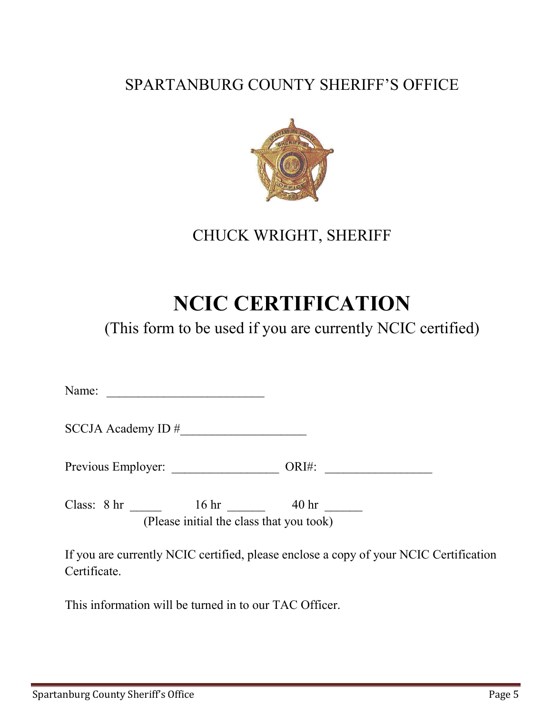# SPARTANBURG COUNTY SHERIFF'S OFFICE



CHUCK WRIGHT, SHERIFF

# **NCIC CERTIFICATION**

(This form to be used if you are currently NCIC certified)

Name:

SCCJA Academy ID #

Previous Employer: \_\_\_\_\_\_\_\_\_\_\_\_\_\_\_\_\_ ORI#: \_\_\_\_\_\_\_\_\_\_\_\_\_\_\_\_\_

Class: 8 hr \_\_\_\_\_ 16 hr \_\_\_\_ 40 hr \_\_\_\_ (Please initial the class that you took)

If you are currently NCIC certified, please enclose a copy of your NCIC Certification Certificate.

This information will be turned in to our TAC Officer.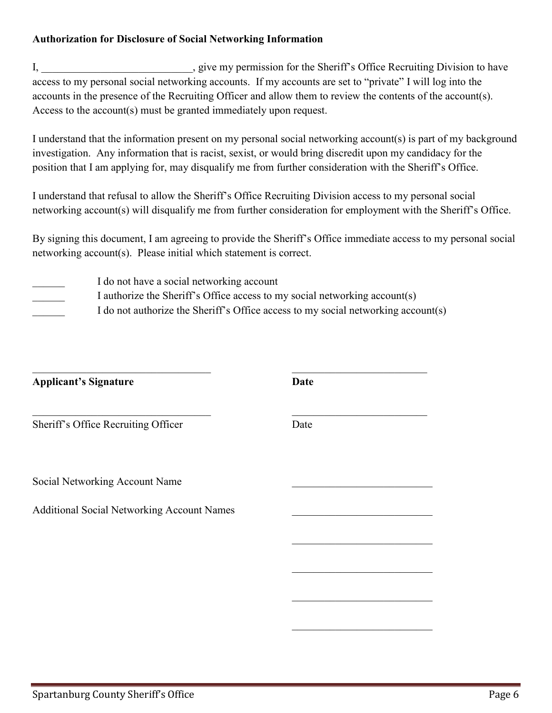#### **Authorization for Disclosure of Social Networking Information**

I, \_\_\_\_\_\_\_\_\_\_\_\_\_\_\_\_\_\_\_\_\_\_\_\_\_, give my permission for the Sheriff's Office Recruiting Division to have access to my personal social networking accounts. If my accounts are set to "private" I will log into the accounts in the presence of the Recruiting Officer and allow them to review the contents of the account(s). Access to the account(s) must be granted immediately upon request.

I understand that the information present on my personal social networking account(s) is part of my background investigation. Any information that is racist, sexist, or would bring discredit upon my candidacy for the position that I am applying for, may disqualify me from further consideration with the Sheriff's Office.

I understand that refusal to allow the Sheriff's Office Recruiting Division access to my personal social networking account(s) will disqualify me from further consideration for employment with the Sheriff's Office.

By signing this document, I am agreeing to provide the Sheriff's Office immediate access to my personal social networking account(s). Please initial which statement is correct.

| I do not have a social networking account                                         |
|-----------------------------------------------------------------------------------|
| I authorize the Sheriff's Office access to my social networking account(s)        |
| I do not authorize the Sheriff's Office access to my social networking account(s) |

 $\_$  , and the contribution of the contribution of  $\_$  . The contribution of  $\_$  , and  $\_$  ,  $\_$  ,  $\_$  ,  $\_$  ,  $\_$ 

 $\mathcal{L}_\text{max}$  , which is a set of the set of the set of the set of the set of the set of the set of the set of the set of the set of the set of the set of the set of the set of the set of the set of the set of the set of

 $\mathcal{L}_\text{max}$  , which is a set of the set of the set of the set of the set of the set of the set of the set of the set of the set of the set of the set of the set of the set of the set of the set of the set of the set of

 $\mathcal{L}_\text{max}$  , which is a set of the set of the set of the set of the set of the set of the set of the set of the set of the set of the set of the set of the set of the set of the set of the set of the set of the set of

**Applicant's Signature Date**

Sheriff's Office Recruiting Officer Date

Social Networking Account Name

Additional Social Networking Account Names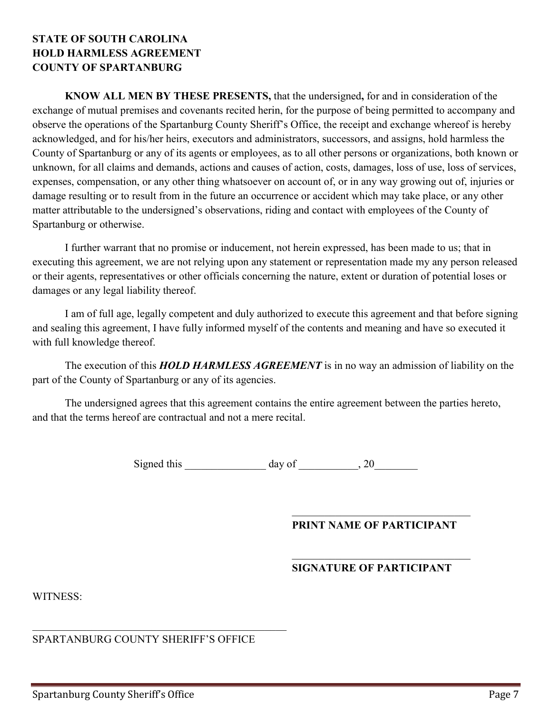#### **STATE OF SOUTH CAROLINA HOLD HARMLESS AGREEMENT COUNTY OF SPARTANBURG**

**KNOW ALL MEN BY THESE PRESENTS,** that the undersigned**,** for and in consideration of the exchange of mutual premises and covenants recited herin, for the purpose of being permitted to accompany and observe the operations of the Spartanburg County Sheriff's Office, the receipt and exchange whereof is hereby acknowledged, and for his/her heirs, executors and administrators, successors, and assigns, hold harmless the County of Spartanburg or any of its agents or employees, as to all other persons or organizations, both known or unknown, for all claims and demands, actions and causes of action, costs, damages, loss of use, loss of services, expenses, compensation, or any other thing whatsoever on account of, or in any way growing out of, injuries or damage resulting or to result from in the future an occurrence or accident which may take place, or any other matter attributable to the undersigned's observations, riding and contact with employees of the County of Spartanburg or otherwise.

 I further warrant that no promise or inducement, not herein expressed, has been made to us; that in executing this agreement, we are not relying upon any statement or representation made my any person released or their agents, representatives or other officials concerning the nature, extent or duration of potential loses or damages or any legal liability thereof.

 I am of full age, legally competent and duly authorized to execute this agreement and that before signing and sealing this agreement, I have fully informed myself of the contents and meaning and have so executed it with full knowledge thereof.

 The execution of this *HOLD HARMLESS AGREEMENT* is in no way an admission of liability on the part of the County of Spartanburg or any of its agencies.

The undersigned agrees that this agreement contains the entire agreement between the parties hereto, and that the terms hereof are contractual and not a mere recital.

Signed this \_\_\_\_\_\_\_\_\_\_\_\_\_ day of \_\_\_\_\_\_\_\_\_, 20

 $\mathcal{L}_\mathcal{L}$  , which is a set of the set of the set of the set of the set of the set of the set of the set of the set of the set of the set of the set of the set of the set of the set of the set of the set of the set of

#### **PRINT NAME OF PARTICIPANT**

#### **SIGNATURE OF PARTICIPANT**

WITNESS:

SPARTANBURG COUNTY SHERIFF'S OFFICE

 $\overline{\mathcal{L}}$  , and the contribution of the contribution of the contribution of the contribution of the contribution of the contribution of the contribution of the contribution of the contribution of the contribution of the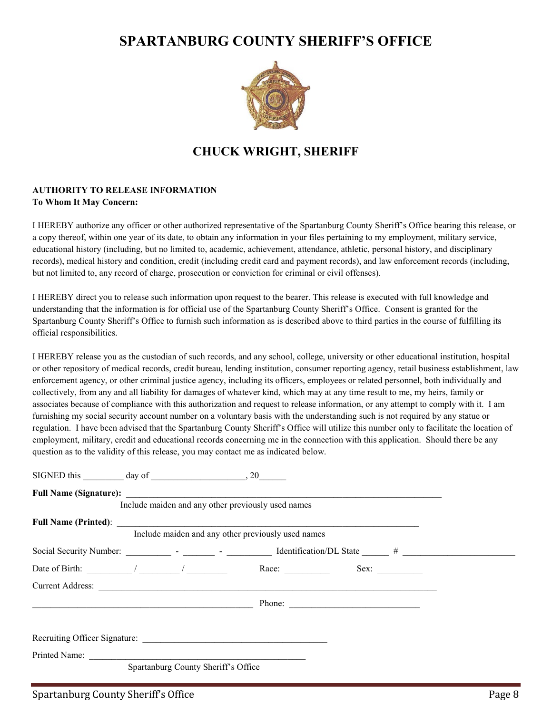# **SPARTANBURG COUNTY SHERIFF'S OFFICE**



### **CHUCK WRIGHT, SHERIFF**

#### **AUTHORITY TO RELEASE INFORMATION To Whom It May Concern:**

I HEREBY authorize any officer or other authorized representative of the Spartanburg County Sheriff's Office bearing this release, or a copy thereof, within one year of its date, to obtain any information in your files pertaining to my employment, military service, educational history (including, but no limited to, academic, achievement, attendance, athletic, personal history, and disciplinary records), medical history and condition, credit (including credit card and payment records), and law enforcement records (including, but not limited to, any record of charge, prosecution or conviction for criminal or civil offenses).

I HEREBY direct you to release such information upon request to the bearer. This release is executed with full knowledge and understanding that the information is for official use of the Spartanburg County Sheriff's Office. Consent is granted for the Spartanburg County Sheriff's Office to furnish such information as is described above to third parties in the course of fulfilling its official responsibilities.

I HEREBY release you as the custodian of such records, and any school, college, university or other educational institution, hospital or other repository of medical records, credit bureau, lending institution, consumer reporting agency, retail business establishment, law enforcement agency, or other criminal justice agency, including its officers, employees or related personnel, both individually and collectively, from any and all liability for damages of whatever kind, which may at any time result to me, my heirs, family or associates because of compliance with this authorization and request to release information, or any attempt to comply with it. I am furnishing my social security account number on a voluntary basis with the understanding such is not required by any statue or regulation. I have been advised that the Spartanburg County Sheriff's Office will utilize this number only to facilitate the location of employment, military, credit and educational records concerning me in the connection with this application. Should there be any question as to the validity of this release, you may contact me as indicated below.

|  |                                     | Include maiden and any other previously used names |                                                                                                                             |  |
|--|-------------------------------------|----------------------------------------------------|-----------------------------------------------------------------------------------------------------------------------------|--|
|  |                                     | Include maiden and any other previously used names |                                                                                                                             |  |
|  |                                     |                                                    |                                                                                                                             |  |
|  |                                     |                                                    | Date of Birth: $\frac{1}{\sqrt{2\pi}}$ / $\frac{1}{\sqrt{2\pi}}$ Race: $\frac{1}{\sqrt{2\pi}}$ Sex: $\frac{1}{\sqrt{2\pi}}$ |  |
|  |                                     |                                                    |                                                                                                                             |  |
|  |                                     |                                                    |                                                                                                                             |  |
|  |                                     |                                                    |                                                                                                                             |  |
|  | Spartanburg County Sheriff's Office |                                                    |                                                                                                                             |  |
|  |                                     |                                                    |                                                                                                                             |  |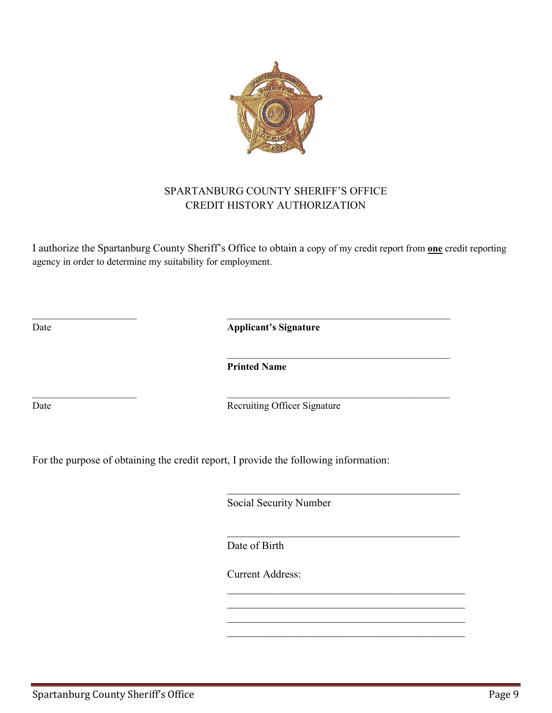

#### SPARTANBURG COUNTY SHERIFF'S OFFICE CREDIT HISTORY AUTHORIZATION

I authorize the Spartanburg County Sheriff's Office to obtain a copy of my credit report from **one** credit reporting agency in order to determine my suitability for employment.

Date **Applicant's Signature** 

**Printed Name** 

 $\overline{\phantom{a}}$  , and the contribution of the contribution of  $\overline{\phantom{a}}$  , and the contribution of  $\overline{\phantom{a}}$  , and  $\overline{\phantom{a}}$ 

 $\mathcal{L}_\text{max}$  and  $\mathcal{L}_\text{max}$  and  $\mathcal{L}_\text{max}$  and  $\mathcal{L}_\text{max}$  and  $\mathcal{L}_\text{max}$  and  $\mathcal{L}_\text{max}$ 

 $\_$  , and the contribution of  $\overline{\phantom{a}}$  , and  $\overline{\phantom{a}}$  , and  $\overline{\phantom{a}}$  , and  $\overline{\phantom{a}}$  , and  $\overline{\phantom{a}}$ 

Date Recruiting Officer Signature

For the purpose of obtaining the credit report, I provide the following information:

Social Security Number

Date of Birth

 $\overline{\phantom{a}}$  ,  $\overline{\phantom{a}}$  ,  $\overline{\phantom{a}}$  ,  $\overline{\phantom{a}}$  ,  $\overline{\phantom{a}}$  ,  $\overline{\phantom{a}}$  ,  $\overline{\phantom{a}}$  ,  $\overline{\phantom{a}}$  ,  $\overline{\phantom{a}}$  ,  $\overline{\phantom{a}}$  ,  $\overline{\phantom{a}}$  ,  $\overline{\phantom{a}}$  ,  $\overline{\phantom{a}}$  ,  $\overline{\phantom{a}}$  ,  $\overline{\phantom{a}}$  ,  $\overline{\phantom{a}}$ 

 $\overline{\phantom{a}}$  ,  $\overline{\phantom{a}}$  ,  $\overline{\phantom{a}}$  ,  $\overline{\phantom{a}}$  ,  $\overline{\phantom{a}}$  ,  $\overline{\phantom{a}}$  ,  $\overline{\phantom{a}}$  ,  $\overline{\phantom{a}}$  ,  $\overline{\phantom{a}}$  ,  $\overline{\phantom{a}}$  ,  $\overline{\phantom{a}}$  ,  $\overline{\phantom{a}}$  ,  $\overline{\phantom{a}}$  ,  $\overline{\phantom{a}}$  ,  $\overline{\phantom{a}}$  ,  $\overline{\phantom{a}}$ 

 $\mathcal{L}_\mathcal{L}$  , and the contribution of the contribution of the contribution of the contribution of the contribution of the contribution of the contribution of the contribution of the contribution of the contribution of  $\mathcal{L}_\mathcal{L}$  , and the contribution of the contribution of the contribution of the contribution of the contribution of the contribution of the contribution of the contribution of the contribution of the contribution of  $\mathcal{L}_\mathcal{L}$  , and the contribution of the contribution of the contribution of the contribution of the contribution of the contribution of the contribution of the contribution of the contribution of the contribution of  $\mathcal{L}_\mathcal{L}$  , and the contribution of the contribution of the contribution of the contribution of the contribution of the contribution of the contribution of the contribution of the contribution of the contribution of

Current Address: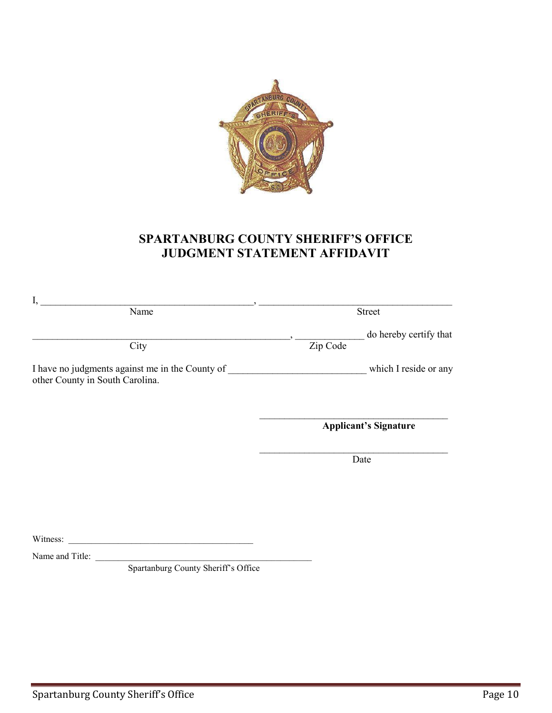

### **SPARTANBURG COUNTY SHERIFF'S OFFICE JUDGMENT STATEMENT AFFIDAVIT**

| I,<br>Name                                                                         |                              | Street                 |
|------------------------------------------------------------------------------------|------------------------------|------------------------|
| City                                                                               | Zip Code                     | do hereby certify that |
| I have no judgments against me in the County of<br>other County in South Carolina. |                              | which I reside or any  |
|                                                                                    | <b>Applicant's Signature</b> |                        |
|                                                                                    |                              | Date                   |
|                                                                                    |                              |                        |
| Witness:                                                                           |                              |                        |

Name and Title:

Spartanburg County Sheriff's Office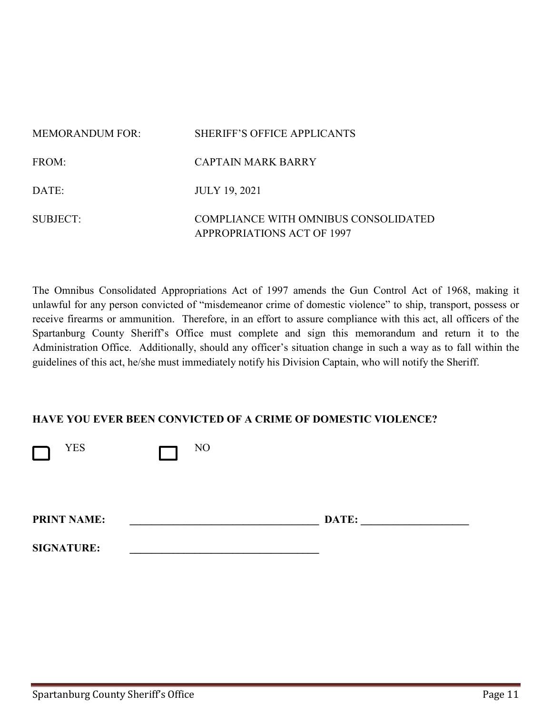| MEMORANDUM FOR: | SHERIFF'S OFFICE APPLICANTS                                               |
|-----------------|---------------------------------------------------------------------------|
| FROM:           | CAPTAIN MARK BARRY                                                        |
| DATE:           | <b>JULY 19, 2021</b>                                                      |
| SUBJECT:        | COMPLIANCE WITH OMNIBUS CONSOLIDATED<br><b>APPROPRIATIONS ACT OF 1997</b> |

The Omnibus Consolidated Appropriations Act of 1997 amends the Gun Control Act of 1968, making it unlawful for any person convicted of "misdemeanor crime of domestic violence" to ship, transport, possess or receive firearms or ammunition. Therefore, in an effort to assure compliance with this act, all officers of the Spartanburg County Sheriff's Office must complete and sign this memorandum and return it to the Administration Office. Additionally, should any officer's situation change in such a way as to fall within the guidelines of this act, he/she must immediately notify his Division Captain, who will notify the Sheriff.

#### **HAVE YOU EVER BEEN CONVICTED OF A CRIME OF DOMESTIC VIOLENCE?**

| <b>YES</b>         | N <sub>O</sub> |       |  |
|--------------------|----------------|-------|--|
| <b>PRINT NAME:</b> |                | DATE: |  |
| <b>SIGNATURE:</b>  |                |       |  |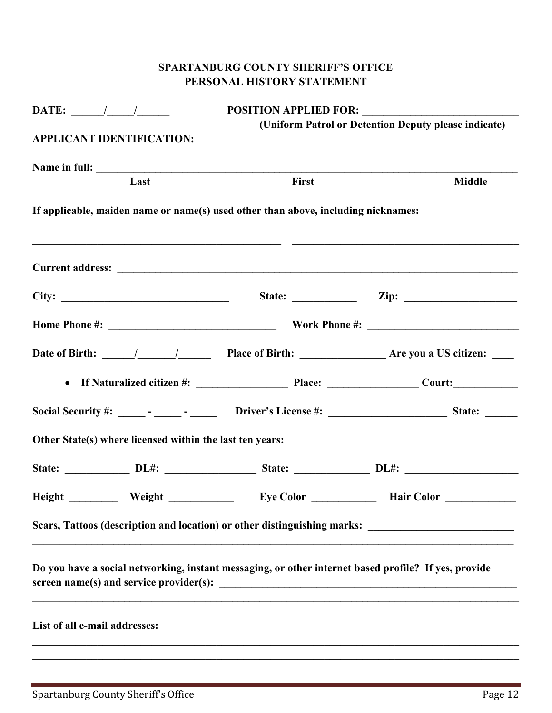### **SPARTANBURG COUNTY SHERIFF'S OFFICE PERSONAL HISTORY STATEMENT**

| DATE: $\frac{1}{\sqrt{2\pi}}$                                                                                                                      |       |                                                      |
|----------------------------------------------------------------------------------------------------------------------------------------------------|-------|------------------------------------------------------|
| <b>APPLICANT IDENTIFICATION:</b>                                                                                                                   |       | (Uniform Patrol or Detention Deputy please indicate) |
| Name in full:                                                                                                                                      |       |                                                      |
| Last                                                                                                                                               | First | <b>Middle</b>                                        |
| If applicable, maiden name or name(s) used other than above, including nicknames:<br><u> 1989 - Johann Stein, mars and de Britannich (b. 1989)</u> |       |                                                      |
|                                                                                                                                                    |       |                                                      |
|                                                                                                                                                    |       |                                                      |
|                                                                                                                                                    |       |                                                      |
|                                                                                                                                                    |       |                                                      |
|                                                                                                                                                    |       |                                                      |
|                                                                                                                                                    |       |                                                      |
| Other State(s) where licensed within the last ten years:                                                                                           |       |                                                      |
|                                                                                                                                                    |       |                                                      |
| Height Weight Eye Color Hair Color                                                                                                                 |       |                                                      |
| Scars, Tattoos (description and location) or other distinguishing marks:                                                                           |       |                                                      |
| Do you have a social networking, instant messaging, or other internet based profile? If yes, provide                                               |       |                                                      |
|                                                                                                                                                    |       |                                                      |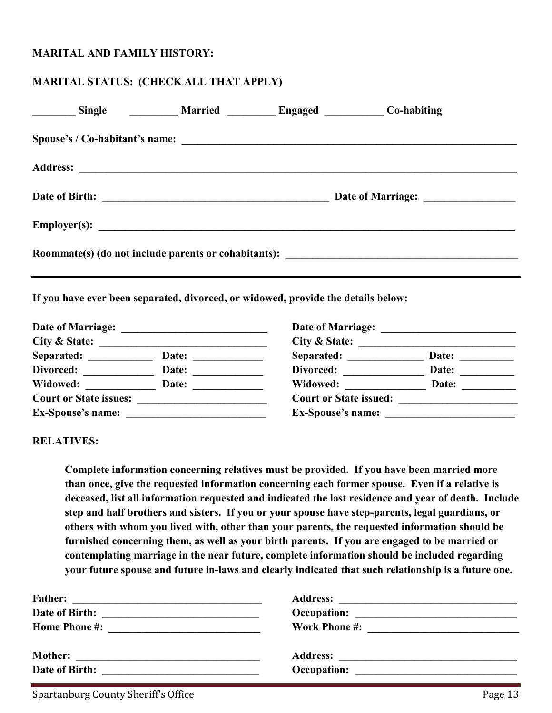#### **MARITAL AND FAMILY HISTORY:**

#### **MARITAL STATUS: (CHECK ALL THAT APPLY)**

| Single Married Engaged Co-habiting                                                |  |                                                                                   |  |
|-----------------------------------------------------------------------------------|--|-----------------------------------------------------------------------------------|--|
|                                                                                   |  |                                                                                   |  |
|                                                                                   |  |                                                                                   |  |
|                                                                                   |  |                                                                                   |  |
|                                                                                   |  |                                                                                   |  |
|                                                                                   |  | Roommate(s) (do not include parents or cohabitants): ____________________________ |  |
| If you have ever been separated, divorced, or widowed, provide the details below: |  |                                                                                   |  |

**Date of Marriage: \_\_\_\_\_\_\_\_\_\_\_\_\_\_\_\_\_\_\_\_\_\_\_\_\_\_\_ Date of Marriage: \_\_\_\_\_\_\_\_\_\_\_\_\_\_\_\_\_\_\_\_\_\_\_\_\_ City & State: \_\_\_\_\_\_\_\_\_\_\_\_\_\_\_\_\_\_\_\_\_\_\_\_\_\_\_\_\_\_\_ City & State: \_\_\_\_\_\_\_\_\_\_\_\_\_\_\_\_\_\_\_\_\_\_\_\_\_\_\_\_\_**  Separated: \_\_\_\_\_\_\_\_\_\_\_\_\_ Date: \_\_\_\_\_\_\_\_\_\_\_\_\_\_\_ Separated: \_\_\_\_\_\_\_\_\_\_\_\_\_ Date: \_\_\_\_\_\_\_\_\_ Divorced: \_\_\_\_\_\_\_\_\_\_\_\_\_\_ Date: \_\_\_\_\_\_\_\_\_\_\_\_\_\_\_ Divorced: \_\_\_\_\_\_\_\_\_\_\_\_\_\_ Date: \_\_\_\_\_\_\_\_\_\_ Widowed: \_\_\_\_\_\_\_\_\_\_\_\_\_\_\_ Date: \_\_\_\_\_\_\_\_\_\_\_\_\_\_\_\_\_ Widowed: \_\_\_\_\_\_\_\_\_\_\_\_\_\_\_ Date: \_\_\_\_\_\_\_\_\_\_\_\_ **Court or State issues: \_\_\_\_\_\_\_\_\_\_\_\_\_\_\_\_\_\_\_\_\_\_\_\_ Court or State issued: \_\_\_\_\_\_\_\_\_\_\_\_\_\_\_\_\_\_\_\_\_\_ Ex-Spouse's name: \_\_\_\_\_\_\_\_\_\_\_\_\_\_\_\_\_\_\_\_\_\_\_\_\_\_ Ex-Spouse's name: \_\_\_\_\_\_\_\_\_\_\_\_\_\_\_\_\_\_\_\_\_\_\_\_** 

#### **RELATIVES:**

**Complete information concerning relatives must be provided. If you have been married more than once, give the requested information concerning each former spouse. Even if a relative is deceased, list all information requested and indicated the last residence and year of death. Include step and half brothers and sisters. If you or your spouse have step-parents, legal guardians, or others with whom you lived with, other than your parents, the requested information should be furnished concerning them, as well as your birth parents. If you are engaged to be married or contemplating marriage in the near future, complete information should be included regarding your future spouse and future in-laws and clearly indicated that such relationship is a future one.** 

| <b>Father:</b>                                     | <b>Address:</b>                                                                                                       |
|----------------------------------------------------|-----------------------------------------------------------------------------------------------------------------------|
| <u> 1989 - Johann John Stein, fransk politik (</u> | <u> 1989 - Johann Stein, fransk politik (d. 1989)</u>                                                                 |
| Date of Birth:                                     |                                                                                                                       |
| <b>Home Phone #:</b>                               | <b>Work Phone #:</b>                                                                                                  |
|                                                    | <u> 1989 - Andrea State Barbara, política e a contra de la contra de la contra de la contra de la contra de la c</u>  |
| <b>Mother:</b>                                     | <b>Address:</b>                                                                                                       |
|                                                    | <u> 1980 - Jan Sterling von Berling von Berling von Berling von Berling von Berling von Berling von Berling von B</u> |
| Date of Birth:                                     | Occupation:                                                                                                           |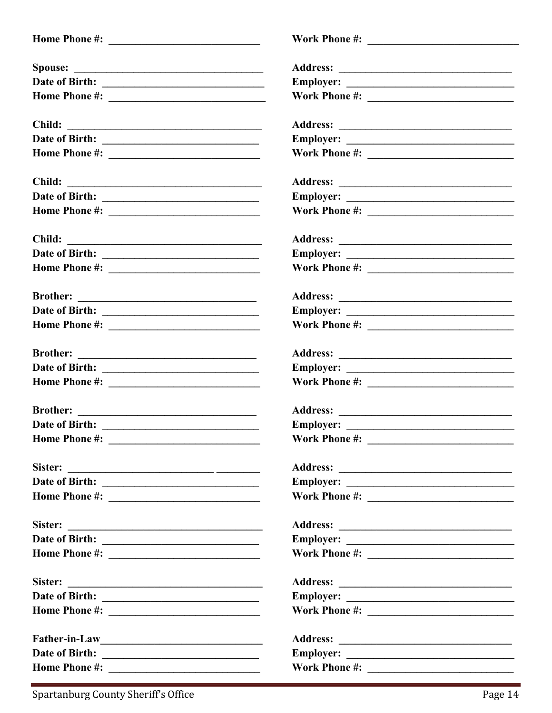| <b>Spouse:</b>                                                                                                                          |  |
|-----------------------------------------------------------------------------------------------------------------------------------------|--|
|                                                                                                                                         |  |
|                                                                                                                                         |  |
| Child:<br><u> 1989 - Andrea Station Barbara, amerikan per</u>                                                                           |  |
|                                                                                                                                         |  |
|                                                                                                                                         |  |
| Child:<br><u> 1989 - Andrea Station Barbara, amerikan personal (h. 1989)</u>                                                            |  |
|                                                                                                                                         |  |
|                                                                                                                                         |  |
| Child:                                                                                                                                  |  |
|                                                                                                                                         |  |
|                                                                                                                                         |  |
| <b>Brother:</b><br><u> Alexandria de la contrada de la contrada de la contrada de la contrada de la contrada de la contrada de la c</u> |  |
|                                                                                                                                         |  |
|                                                                                                                                         |  |
|                                                                                                                                         |  |
|                                                                                                                                         |  |
|                                                                                                                                         |  |
|                                                                                                                                         |  |
|                                                                                                                                         |  |
|                                                                                                                                         |  |
| Sister:<br><u> Alexandria de la contrada de la contrada de la contrada de la contrada de la contrada de la contrada de la c</u>         |  |
|                                                                                                                                         |  |
|                                                                                                                                         |  |
| Sister:                                                                                                                                 |  |
|                                                                                                                                         |  |
|                                                                                                                                         |  |
| Sister:<br><u> 1989 - Johann Harry Harry Harry Harry Harry Harry Harry Harry Harry Harry Harry Harry Harry Harry Harry Harry</u>        |  |
| Date of Birth:                                                                                                                          |  |
|                                                                                                                                         |  |
|                                                                                                                                         |  |
|                                                                                                                                         |  |
|                                                                                                                                         |  |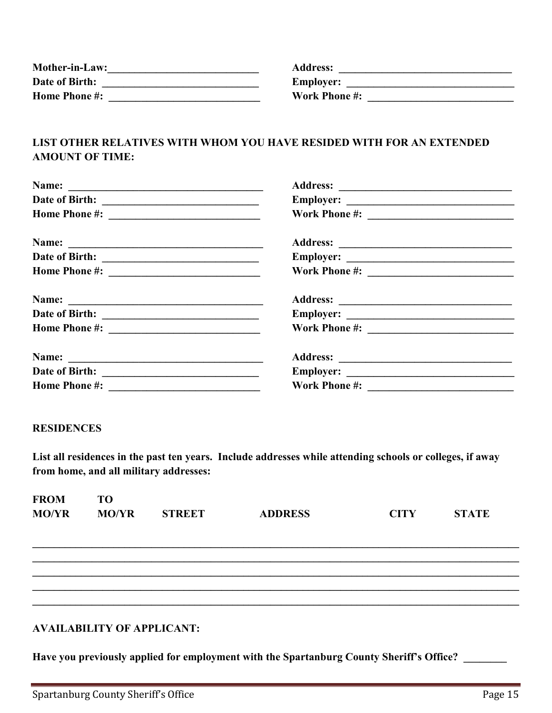| <b>Mother-in-Law:</b> | <b>Address:</b>      |
|-----------------------|----------------------|
| Date of Birth:        | <b>Employer:</b>     |
| <b>Home Phone #:</b>  | <b>Work Phone #:</b> |

#### . . . .

#### **LIST OTHER RELATIVES WITH WHOM YOU HAVE RESIDED WITH FOR AN EXTENDED AMOUNT OF TIME:**

| <b>Home Phone #:</b> |  |
|----------------------|--|

#### **RESIDENCES**

**List all residences in the past ten years. Include addresses while attending schools or colleges, if away from home, and all military addresses:** 

| <b>FROM</b>  | <b>TO</b>    |               |                |             |              |
|--------------|--------------|---------------|----------------|-------------|--------------|
| <b>MO/YR</b> | <b>MO/YR</b> | <b>STREET</b> | <b>ADDRESS</b> | <b>CITY</b> | <b>STATE</b> |
|              |              |               |                |             |              |
|              |              |               |                |             |              |
|              |              |               |                |             |              |
|              |              |               |                |             |              |
|              |              |               |                |             |              |
|              |              |               |                |             |              |
|              |              |               |                |             |              |

#### **AVAILABILITY OF APPLICANT:**

Have you previously applied for employment with the Spartanburg County Sheriff's Office?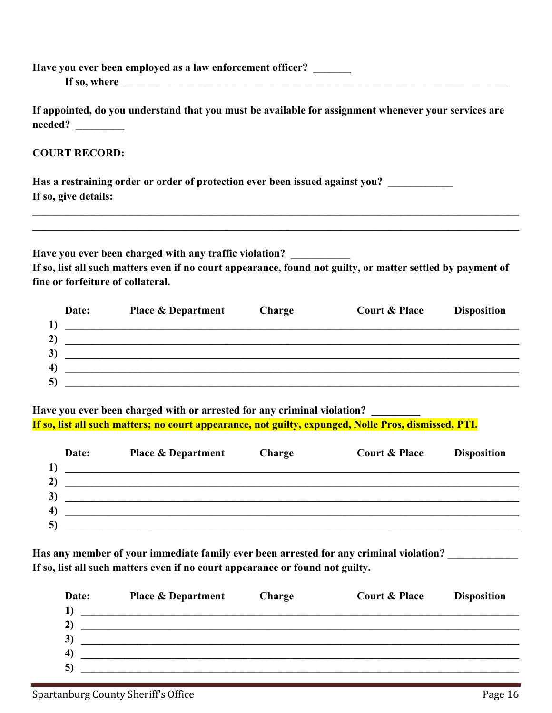| $needed? \ \_$                         |        |                          |                                                                                                                                                                                                                                                                                                                                                                                                                                                                                                                                                                                                                                                                             |
|----------------------------------------|--------|--------------------------|-----------------------------------------------------------------------------------------------------------------------------------------------------------------------------------------------------------------------------------------------------------------------------------------------------------------------------------------------------------------------------------------------------------------------------------------------------------------------------------------------------------------------------------------------------------------------------------------------------------------------------------------------------------------------------|
| <b>COURT RECORD:</b>                   |        |                          |                                                                                                                                                                                                                                                                                                                                                                                                                                                                                                                                                                                                                                                                             |
| If so, give details:                   |        |                          |                                                                                                                                                                                                                                                                                                                                                                                                                                                                                                                                                                                                                                                                             |
| fine or forfeiture of collateral.      |        |                          |                                                                                                                                                                                                                                                                                                                                                                                                                                                                                                                                                                                                                                                                             |
| Date:<br><b>Place &amp; Department</b> | Charge | <b>Court &amp; Place</b> | <b>Disposition</b>                                                                                                                                                                                                                                                                                                                                                                                                                                                                                                                                                                                                                                                          |
|                                        |        |                          | Have you ever been employed as a law enforcement officer?<br>If appointed, do you understand that you must be available for assignment whenever your services are<br>Has a restraining order or order of protection ever been issued against you?<br>Have you ever been charged with any traffic violation?<br>If so, list all such matters even if no court appearance, found not guilty, or matter settled by payment of<br><u> Andreas Andreas Andreas Andreas Andreas Andreas Andreas Andreas Andreas Andreas Andreas Andreas Andreas Andr</u><br><u> 1989 - Johann Stoff, deutscher Stoff, der Stoff, der Stoff, der Stoff, der Stoff, der Stoff, der Stoff, der S</u> |

Have you ever been charged with or arrested for any criminal violation? **If so, list all such matters; no court appearance, not guilty, expunged, Nolle Pros, dismissed, PTI.** 

| <b>Place &amp; Department</b> | <b>Charge</b> | <b>Court &amp; Place</b> | <b>Disposition</b> |
|-------------------------------|---------------|--------------------------|--------------------|
|                               |               |                          |                    |
|                               |               |                          |                    |
|                               |               |                          |                    |
|                               |               |                          |                    |
|                               |               |                          |                    |
|                               |               |                          |                    |

Has any member of your immediate family ever been arrested for any criminal violation? \_\_\_\_\_\_\_\_\_\_\_\_\_ **If so, list all such matters even if no court appearance or found not guilty.** 

| Date:          | <b>Place &amp; Department</b>                                    | <b>Charge</b> | <b>Court &amp; Place</b> | <b>Disposition</b> |
|----------------|------------------------------------------------------------------|---------------|--------------------------|--------------------|
|                | <u> 1989 - Johann John Stone, Amerikaansk politiker (* 1958)</u> |               |                          |                    |
| 2)             |                                                                  |               |                          |                    |
| 3)             |                                                                  |               |                          |                    |
| $\overline{4}$ |                                                                  |               |                          |                    |
| $\vert$ 5)     |                                                                  |               |                          |                    |
|                |                                                                  |               |                          |                    |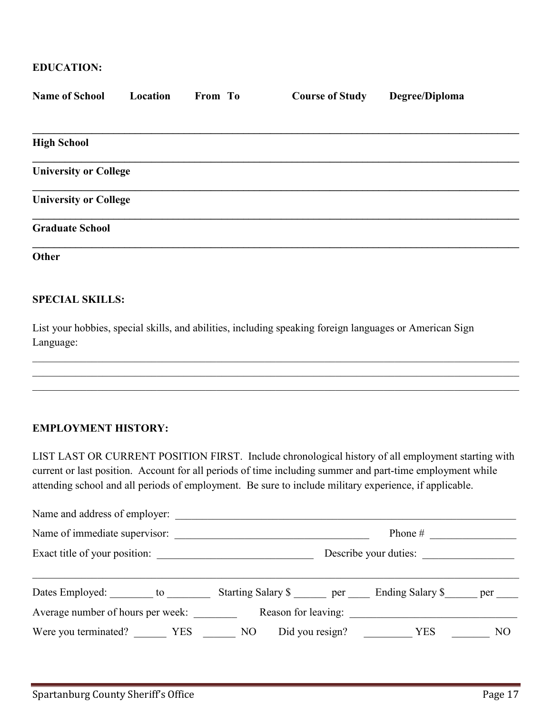#### **EDUCATION:**

| <b>Name of School</b>        | Location | From To | <b>Course of Study</b> | Degree/Diploma |
|------------------------------|----------|---------|------------------------|----------------|
|                              |          |         |                        |                |
| <b>High School</b>           |          |         |                        |                |
| <b>University or College</b> |          |         |                        |                |
| <b>University or College</b> |          |         |                        |                |
| <b>Graduate School</b>       |          |         |                        |                |
| Other                        |          |         |                        |                |

#### **SPECIAL SKILLS:**

List your hobbies, special skills, and abilities, including speaking foreign languages or American Sign Language:

#### **EMPLOYMENT HISTORY:**

LIST LAST OR CURRENT POSITION FIRST. Include chronological history of all employment starting with current or last position. Account for all periods of time including summer and part-time employment while attending school and all periods of employment. Be sure to include military experience, if applicable.

 $\mathcal{L}_\mathcal{L} = \{ \mathcal{L}_\mathcal{L} = \{ \mathcal{L}_\mathcal{L} = \{ \mathcal{L}_\mathcal{L} = \{ \mathcal{L}_\mathcal{L} = \{ \mathcal{L}_\mathcal{L} = \{ \mathcal{L}_\mathcal{L} = \{ \mathcal{L}_\mathcal{L} = \{ \mathcal{L}_\mathcal{L} = \{ \mathcal{L}_\mathcal{L} = \{ \mathcal{L}_\mathcal{L} = \{ \mathcal{L}_\mathcal{L} = \{ \mathcal{L}_\mathcal{L} = \{ \mathcal{L}_\mathcal{L} = \{ \mathcal{L}_\mathcal{$ 

| Name and address of employer:                                          |                                             |  |                       |  |  |
|------------------------------------------------------------------------|---------------------------------------------|--|-----------------------|--|--|
|                                                                        | Name of immediate supervisor:<br>Phone $\#$ |  |                       |  |  |
| Exact title of your position:                                          |                                             |  | Describe your duties: |  |  |
|                                                                        |                                             |  |                       |  |  |
| Dates Employed: to the Starting Salary \$ per Ending Salary \$ per per |                                             |  |                       |  |  |
|                                                                        |                                             |  |                       |  |  |
| Were you terminated?    VES    NO    Did you resign?    VES    NO      |                                             |  |                       |  |  |
|                                                                        |                                             |  |                       |  |  |
|                                                                        |                                             |  |                       |  |  |
|                                                                        |                                             |  |                       |  |  |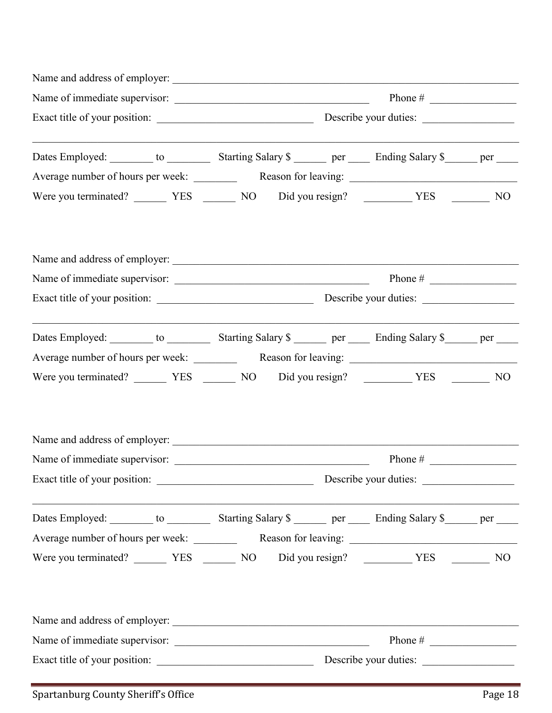| Dates Employed: ________ to ____________ Starting Salary \$ _______ per _____ Ending Salary \$ ______ per _____ |                                                            |  |  |  |  |
|-----------------------------------------------------------------------------------------------------------------|------------------------------------------------------------|--|--|--|--|
|                                                                                                                 |                                                            |  |  |  |  |
|                                                                                                                 |                                                            |  |  |  |  |
|                                                                                                                 |                                                            |  |  |  |  |
|                                                                                                                 |                                                            |  |  |  |  |
|                                                                                                                 |                                                            |  |  |  |  |
|                                                                                                                 |                                                            |  |  |  |  |
| Dates Employed: ________ to ____________ Starting Salary \$ _______ per _____ Ending Salary \$ ______ per _____ |                                                            |  |  |  |  |
|                                                                                                                 |                                                            |  |  |  |  |
| Were you terminated? __________ YES ________ NO Did you resign? ___________ YES _________ NO                    |                                                            |  |  |  |  |
|                                                                                                                 |                                                            |  |  |  |  |
|                                                                                                                 |                                                            |  |  |  |  |
|                                                                                                                 |                                                            |  |  |  |  |
|                                                                                                                 | Describe your duties:                                      |  |  |  |  |
| Dates Employed: ________ to ____________ Starting Salary \$ _______ per _____ Ending Salary \$ ______ per _____ |                                                            |  |  |  |  |
|                                                                                                                 |                                                            |  |  |  |  |
|                                                                                                                 |                                                            |  |  |  |  |
|                                                                                                                 |                                                            |  |  |  |  |
|                                                                                                                 |                                                            |  |  |  |  |
|                                                                                                                 |                                                            |  |  |  |  |
|                                                                                                                 | Phone # $\frac{1}{\sqrt{1-\frac{1}{2}} \cdot \frac{1}{2}}$ |  |  |  |  |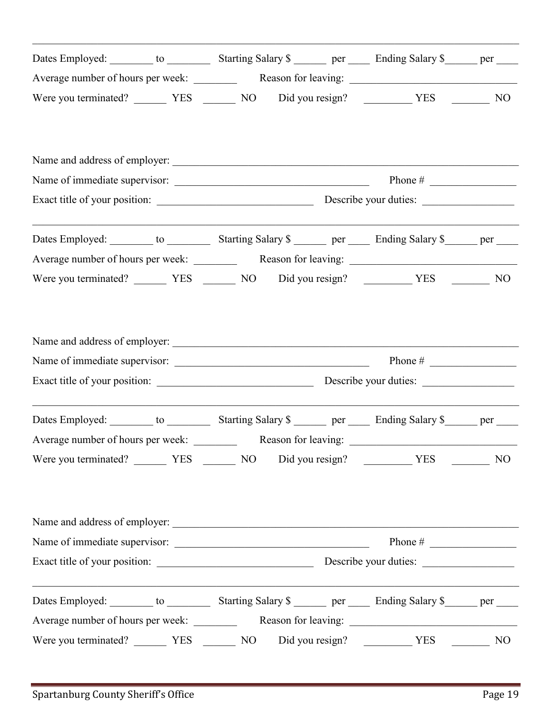|                                                                                                          | Dates Employed: to the Starting Salary \$ |                                                                                           |  |
|----------------------------------------------------------------------------------------------------------|-------------------------------------------|-------------------------------------------------------------------------------------------|--|
|                                                                                                          |                                           |                                                                                           |  |
|                                                                                                          |                                           |                                                                                           |  |
|                                                                                                          |                                           |                                                                                           |  |
|                                                                                                          |                                           |                                                                                           |  |
|                                                                                                          |                                           |                                                                                           |  |
|                                                                                                          |                                           |                                                                                           |  |
| <u> 1989 - Johann Stoff, amerikansk politiker (d. 1989)</u><br>Dates Employed: to the Starting Salary \$ |                                           | the control of the control of the control of the control of the control of the control of |  |
|                                                                                                          |                                           |                                                                                           |  |
|                                                                                                          |                                           |                                                                                           |  |
| Name of immediate supervisor: $\frac{1}{2}$ Phone # Phone # Phone # 2008                                 |                                           |                                                                                           |  |
|                                                                                                          |                                           |                                                                                           |  |
|                                                                                                          |                                           |                                                                                           |  |
|                                                                                                          |                                           |                                                                                           |  |
| Dates Employed: to the Starting Salary \$ ________ per ______ Ending Salary \$ ______ per _____          |                                           |                                                                                           |  |
|                                                                                                          |                                           |                                                                                           |  |
|                                                                                                          |                                           |                                                                                           |  |
|                                                                                                          |                                           | Phone # $\qquad \qquad$                                                                   |  |
| Dates Employed: to the Starting Salary \$                                                                |                                           |                                                                                           |  |
|                                                                                                          |                                           |                                                                                           |  |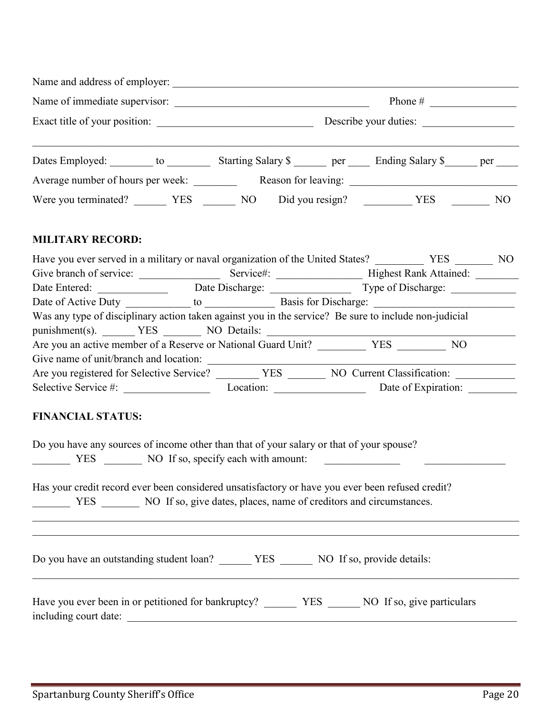| Name and address of employer:     |                        |                      |  |  |  |
|-----------------------------------|------------------------|----------------------|--|--|--|
| Name of immediate supervisor:     | Phone $#$              |                      |  |  |  |
| Exact title of your position:     | Describe your duties:  |                      |  |  |  |
| Dates Employed: to to             | Starting Salary \$ per | Ending Salary \$ per |  |  |  |
| Average number of hours per week: | Reason for leaving:    |                      |  |  |  |
| Were you terminated? YES          | Did you resign?<br>NO. | NO<br><b>YES</b>     |  |  |  |

### **MILITARY RECORD:**

| Have you ever served in a military or naval organization of the United States?                        |                    |                               | N <sub>O</sub><br><b>YES</b> |
|-------------------------------------------------------------------------------------------------------|--------------------|-------------------------------|------------------------------|
| Give branch of service:                                                                               | Service#:          | <b>Highest Rank Attained:</b> |                              |
| Date Entered:                                                                                         | Date Discharge:    | Type of Discharge:            |                              |
| Date of Active Duty                                                                                   | to $\qquad \qquad$ | Basis for Discharge:          |                              |
| Was any type of disciplinary action taken against you in the service? Be sure to include non-judicial |                    |                               |                              |
| punishment(s). YES NO Details:                                                                        |                    |                               |                              |
| Are you an active member of a Reserve or National Guard Unit?                                         |                    | <b>YES</b>                    | NO                           |
| Give name of unit/branch and location:                                                                |                    |                               |                              |
| Are you registered for Selective Service?                                                             | <b>YES</b>         | NO Current Classification:    |                              |
| Selective Service #:                                                                                  | Location:          | Date of Expiration:           |                              |

### **FINANCIAL STATUS:**

| Do you have any sources of income other than that of your salary or that of your spouse?                    | YES NO If so, specify each with amount: |  |  |
|-------------------------------------------------------------------------------------------------------------|-----------------------------------------|--|--|
| Has your credit record ever been considered unsatisfactory or have you ever been refused credit?            |                                         |  |  |
| Do you have an outstanding student loan? YES NO If so, provide details:                                     |                                         |  |  |
| Have you ever been in or petitioned for bankruptcy? YES NO If so, give particulars<br>including court date: |                                         |  |  |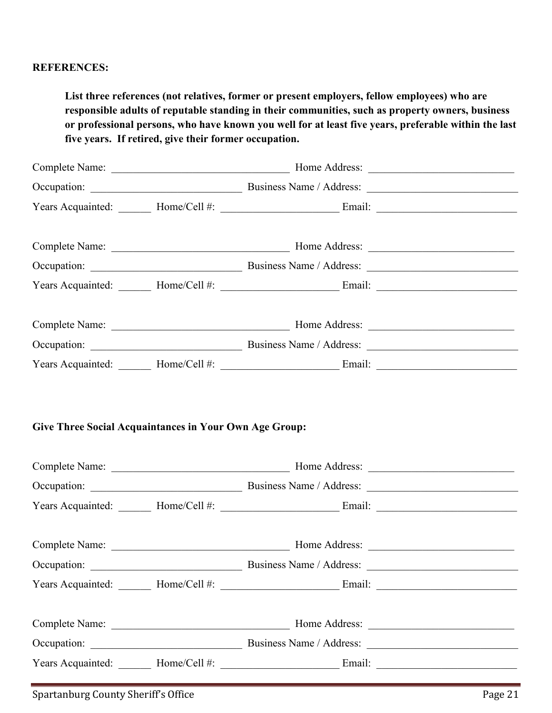#### **REFERENCES:**

**List three references (not relatives, former or present employers, fellow employees) who are responsible adults of reputable standing in their communities, such as property owners, business or professional persons, who have known you well for at least five years, preferable within the last five years. If retired, give their former occupation.**

|  |  | Years Acquainted: _______ Home/Cell #: ___________________________Email: ___________________________ |  |  |
|--|--|------------------------------------------------------------------------------------------------------|--|--|
|  |  |                                                                                                      |  |  |
|  |  |                                                                                                      |  |  |
|  |  | Years Acquainted: _______ Home/Cell #: ____________________________Email: __________________________ |  |  |
|  |  |                                                                                                      |  |  |
|  |  |                                                                                                      |  |  |
|  |  | Years Acquainted: _______ Home/Cell #: ___________________________Email: ___________________________ |  |  |
|  |  |                                                                                                      |  |  |
|  |  |                                                                                                      |  |  |
|  |  |                                                                                                      |  |  |
|  |  | Years Acquainted: _______ Home/Cell #: ____________________________Email: __________________________ |  |  |
|  |  |                                                                                                      |  |  |
|  |  |                                                                                                      |  |  |
|  |  | Years Acquainted: _______ Home/Cell #: ___________________________Email: ___________________________ |  |  |
|  |  |                                                                                                      |  |  |
|  |  |                                                                                                      |  |  |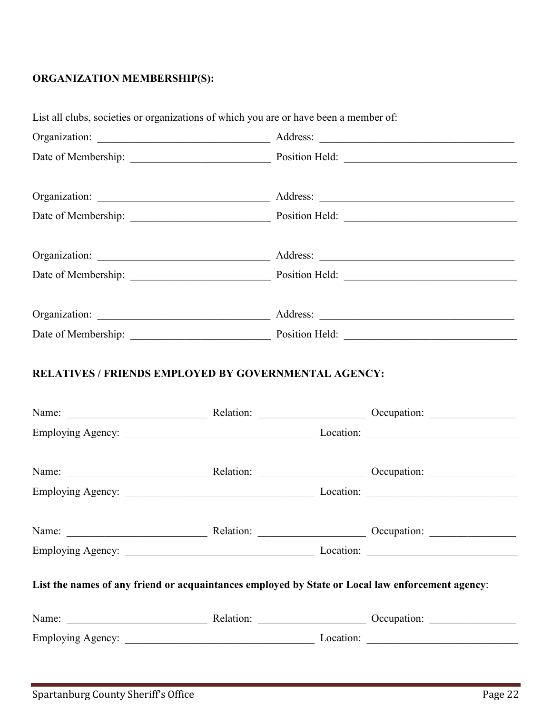### **ORGANIZATION MEMBERSHIP(S):**

| List all clubs, societies or organizations of which you are or have been a member of:            |  |  |                                                                                                                                                                                                                                |  |
|--------------------------------------------------------------------------------------------------|--|--|--------------------------------------------------------------------------------------------------------------------------------------------------------------------------------------------------------------------------------|--|
|                                                                                                  |  |  |                                                                                                                                                                                                                                |  |
|                                                                                                  |  |  |                                                                                                                                                                                                                                |  |
|                                                                                                  |  |  |                                                                                                                                                                                                                                |  |
|                                                                                                  |  |  |                                                                                                                                                                                                                                |  |
|                                                                                                  |  |  |                                                                                                                                                                                                                                |  |
|                                                                                                  |  |  |                                                                                                                                                                                                                                |  |
|                                                                                                  |  |  |                                                                                                                                                                                                                                |  |
|                                                                                                  |  |  |                                                                                                                                                                                                                                |  |
|                                                                                                  |  |  | Name: Name: Name: Name: Name: Name: Name: Name: Name: Name: Name: Name: Name: Name: Name: Name: Name: Name: Name: Name: Name: Name: Name: Name: Name: Name: Name: Name: Name: Name: Name: Name: Name: Name: Name: Name: Name:  |  |
|                                                                                                  |  |  |                                                                                                                                                                                                                                |  |
|                                                                                                  |  |  | Name: Name: Name: Relation: Name: Name: Name: Name: Name: Name: Name: Name: Name: Name: Name: Name: Name: Name: Name: Name: Name: Name: Name: Name: Name: Name: Name: Name: Name: Name: Name: Name: Name: Name: Name: Name: Na |  |
|                                                                                                  |  |  | Name: Name: Name: Relation: Name: Name: Name: Name: Name: Name: Name: Name: Name: Name: Name: Name: Name: Name: Name: Name: Name: Name: Name: Name: Name: Name: Name: Name: Name: Name: Name: Name: Name: Name: Name: Name: Na |  |
|                                                                                                  |  |  |                                                                                                                                                                                                                                |  |
| List the names of any friend or acquaintances employed by State or Local law enforcement agency: |  |  |                                                                                                                                                                                                                                |  |
|                                                                                                  |  |  | Name: Name: Name: Name: Name: Name: Name: Name: Name: Name: Name: Name: Name: Name: Name: Name: Name: Name: Name: Name: Name: Name: Name: Name: Name: Name: Name: Name: Name: Name: Name: Name: Name: Name: Name: Name: Name:  |  |
|                                                                                                  |  |  |                                                                                                                                                                                                                                |  |
|                                                                                                  |  |  |                                                                                                                                                                                                                                |  |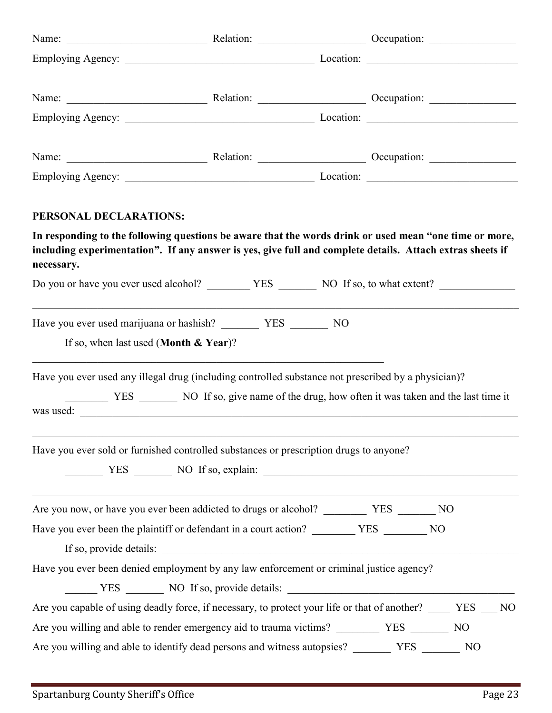| Name: Name: Name: Relation: Name: Name: Name: Name: Name: Name: Name: Name: Name: Name: Name: Name: Name: Name: Name: Name: Name: Name: Name: Name: Name: Name: Name: Name: Name: Name: Name: Name: Name: Name: Name: Name: Na    |  |  |                        |  |
|-----------------------------------------------------------------------------------------------------------------------------------------------------------------------------------------------------------------------------------|--|--|------------------------|--|
|                                                                                                                                                                                                                                   |  |  |                        |  |
| Name: Name: Name: Name: Name: Name: Name: Name: Name: Name: Name: Name: Name: Name: Name: Name: Name: Name: Name: Name: Name: Name: Name: Name: Name: Name: Name: Name: Name: Name: Name: Name: Name: Name: Name: Name: Name:     |  |  |                        |  |
|                                                                                                                                                                                                                                   |  |  |                        |  |
| PERSONAL DECLARATIONS:                                                                                                                                                                                                            |  |  |                        |  |
| In responding to the following questions be aware that the words drink or used mean "one time or more,<br>including experimentation". If any answer is yes, give full and complete details. Attach extras sheets if<br>necessary. |  |  |                        |  |
|                                                                                                                                                                                                                                   |  |  |                        |  |
|                                                                                                                                                                                                                                   |  |  |                        |  |
| If so, when last used (Month $\&$ Year)?<br><u> 1980 - Johann Barbara, martin a</u>                                                                                                                                               |  |  |                        |  |
| Have you ever used any illegal drug (including controlled substance not prescribed by a physician)?<br>was used:                                                                                                                  |  |  |                        |  |
| Have you ever sold or furnished controlled substances or prescription drugs to anyone?                                                                                                                                            |  |  | YES NO If so, explain: |  |
|                                                                                                                                                                                                                                   |  |  |                        |  |
| Have you ever been the plaintiff or defendant in a court action? _________ YES ________ NO<br>If so, provide details:                                                                                                             |  |  |                        |  |
| Have you ever been denied employment by any law enforcement or criminal justice agency?                                                                                                                                           |  |  |                        |  |
| YES NO If so, provide details:                                                                                                                                                                                                    |  |  |                        |  |
| Are you capable of using deadly force, if necessary, to protect your life or that of another? _____ YES                                                                                                                           |  |  | N <sub>O</sub>         |  |
| Are you willing and able to render emergency aid to trauma victims? __________ YES                                                                                                                                                |  |  | N <sub>O</sub>         |  |
| Are you willing and able to identify dead persons and witness autopsies?                                                                                                                                                          |  |  | YES<br>N <sub>O</sub>  |  |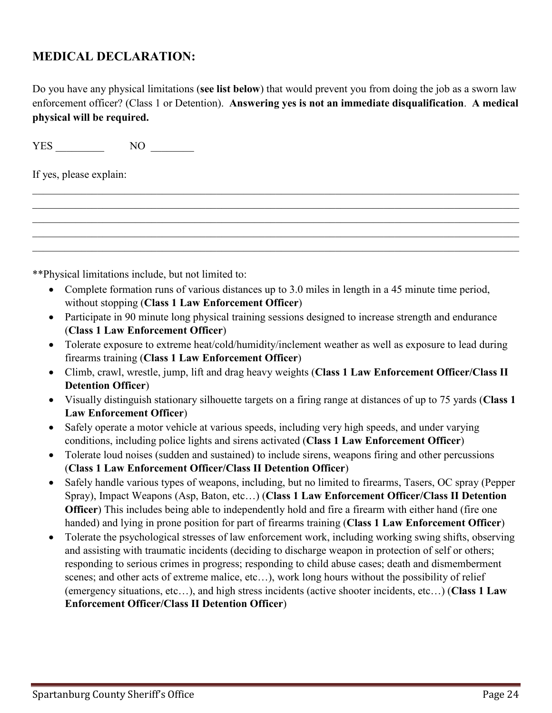## **MEDICAL DECLARATION:**

Do you have any physical limitations (**see list below**) that would prevent you from doing the job as a sworn law enforcement officer? (Class 1 or Detention). **Answering yes is not an immediate disqualification**. **A medical physical will be required.** 

 $\mathcal{L}_\mathcal{L} = \{ \mathcal{L}_\mathcal{L} = \{ \mathcal{L}_\mathcal{L} = \{ \mathcal{L}_\mathcal{L} = \{ \mathcal{L}_\mathcal{L} = \{ \mathcal{L}_\mathcal{L} = \{ \mathcal{L}_\mathcal{L} = \{ \mathcal{L}_\mathcal{L} = \{ \mathcal{L}_\mathcal{L} = \{ \mathcal{L}_\mathcal{L} = \{ \mathcal{L}_\mathcal{L} = \{ \mathcal{L}_\mathcal{L} = \{ \mathcal{L}_\mathcal{L} = \{ \mathcal{L}_\mathcal{L} = \{ \mathcal{L}_\mathcal{$  $\mathcal{L}_\mathcal{L} = \{ \mathcal{L}_\mathcal{L} = \{ \mathcal{L}_\mathcal{L} = \{ \mathcal{L}_\mathcal{L} = \{ \mathcal{L}_\mathcal{L} = \{ \mathcal{L}_\mathcal{L} = \{ \mathcal{L}_\mathcal{L} = \{ \mathcal{L}_\mathcal{L} = \{ \mathcal{L}_\mathcal{L} = \{ \mathcal{L}_\mathcal{L} = \{ \mathcal{L}_\mathcal{L} = \{ \mathcal{L}_\mathcal{L} = \{ \mathcal{L}_\mathcal{L} = \{ \mathcal{L}_\mathcal{L} = \{ \mathcal{L}_\mathcal{$  $\mathcal{L}_\mathcal{L} = \{ \mathcal{L}_\mathcal{L} = \{ \mathcal{L}_\mathcal{L} = \{ \mathcal{L}_\mathcal{L} = \{ \mathcal{L}_\mathcal{L} = \{ \mathcal{L}_\mathcal{L} = \{ \mathcal{L}_\mathcal{L} = \{ \mathcal{L}_\mathcal{L} = \{ \mathcal{L}_\mathcal{L} = \{ \mathcal{L}_\mathcal{L} = \{ \mathcal{L}_\mathcal{L} = \{ \mathcal{L}_\mathcal{L} = \{ \mathcal{L}_\mathcal{L} = \{ \mathcal{L}_\mathcal{L} = \{ \mathcal{L}_\mathcal{$  $\_$  , and the set of the set of the set of the set of the set of the set of the set of the set of the set of the set of the set of the set of the set of the set of the set of the set of the set of the set of the set of th

YES NO

If yes, please explain:

\*\*Physical limitations include, but not limited to:

- Complete formation runs of various distances up to 3.0 miles in length in a 45 minute time period, without stopping (**Class 1 Law Enforcement Officer**)
- Participate in 90 minute long physical training sessions designed to increase strength and endurance (**Class 1 Law Enforcement Officer**)
- Tolerate exposure to extreme heat/cold/humidity/inclement weather as well as exposure to lead during firearms training (**Class 1 Law Enforcement Officer**)
- Climb, crawl, wrestle, jump, lift and drag heavy weights (**Class 1 Law Enforcement Officer/Class II Detention Officer**)
- Visually distinguish stationary silhouette targets on a firing range at distances of up to 75 yards (**Class 1 Law Enforcement Officer**)
- Safely operate a motor vehicle at various speeds, including very high speeds, and under varying conditions, including police lights and sirens activated (**Class 1 Law Enforcement Officer**)
- Tolerate loud noises (sudden and sustained) to include sirens, weapons firing and other percussions (**Class 1 Law Enforcement Officer/Class II Detention Officer**)
- Safely handle various types of weapons, including, but no limited to firearms, Tasers, OC spray (Pepper Spray), Impact Weapons (Asp, Baton, etc…) (**Class 1 Law Enforcement Officer/Class II Detention Officer**) This includes being able to independently hold and fire a firearm with either hand (fire one handed) and lying in prone position for part of firearms training (**Class 1 Law Enforcement Officer**)
- Tolerate the psychological stresses of law enforcement work, including working swing shifts, observing and assisting with traumatic incidents (deciding to discharge weapon in protection of self or others; responding to serious crimes in progress; responding to child abuse cases; death and dismemberment scenes; and other acts of extreme malice, etc...), work long hours without the possibility of relief (emergency situations, etc…), and high stress incidents (active shooter incidents, etc…) (**Class 1 Law Enforcement Officer/Class II Detention Officer**)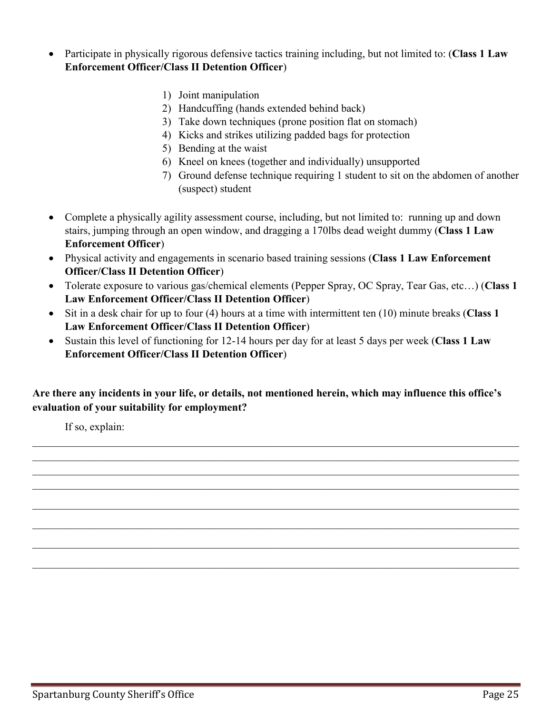- Participate in physically rigorous defensive tactics training including, but not limited to: (**Class 1 Law Enforcement Officer/Class II Detention Officer**)
	- 1) Joint manipulation
	- 2) Handcuffing (hands extended behind back)
	- 3) Take down techniques (prone position flat on stomach)
	- 4) Kicks and strikes utilizing padded bags for protection
	- 5) Bending at the waist
	- 6) Kneel on knees (together and individually) unsupported
	- 7) Ground defense technique requiring 1 student to sit on the abdomen of another (suspect) student
- Complete a physically agility assessment course, including, but not limited to: running up and down stairs, jumping through an open window, and dragging a 170lbs dead weight dummy (**Class 1 Law Enforcement Officer**)
- Physical activity and engagements in scenario based training sessions (**Class 1 Law Enforcement Officer/Class II Detention Officer**)
- Tolerate exposure to various gas/chemical elements (Pepper Spray, OC Spray, Tear Gas, etc…) (**Class 1 Law Enforcement Officer/Class II Detention Officer**)
- Sit in a desk chair for up to four (4) hours at a time with intermittent ten (10) minute breaks (**Class 1 Law Enforcement Officer/Class II Detention Officer**)
- Sustain this level of functioning for 12-14 hours per day for at least 5 days per week (**Class 1 Law Enforcement Officer/Class II Detention Officer**)

#### **Are there any incidents in your life, or details, not mentioned herein, which may influence this office's evaluation of your suitability for employment?**

 $\mathcal{L}_\mathcal{L} = \{ \mathcal{L}_\mathcal{L} = \{ \mathcal{L}_\mathcal{L} = \{ \mathcal{L}_\mathcal{L} = \{ \mathcal{L}_\mathcal{L} = \{ \mathcal{L}_\mathcal{L} = \{ \mathcal{L}_\mathcal{L} = \{ \mathcal{L}_\mathcal{L} = \{ \mathcal{L}_\mathcal{L} = \{ \mathcal{L}_\mathcal{L} = \{ \mathcal{L}_\mathcal{L} = \{ \mathcal{L}_\mathcal{L} = \{ \mathcal{L}_\mathcal{L} = \{ \mathcal{L}_\mathcal{L} = \{ \mathcal{L}_\mathcal{$ 

 $\mathcal{L}_\mathcal{L} = \{ \mathcal{L}_\mathcal{L} = \{ \mathcal{L}_\mathcal{L} = \{ \mathcal{L}_\mathcal{L} = \{ \mathcal{L}_\mathcal{L} = \{ \mathcal{L}_\mathcal{L} = \{ \mathcal{L}_\mathcal{L} = \{ \mathcal{L}_\mathcal{L} = \{ \mathcal{L}_\mathcal{L} = \{ \mathcal{L}_\mathcal{L} = \{ \mathcal{L}_\mathcal{L} = \{ \mathcal{L}_\mathcal{L} = \{ \mathcal{L}_\mathcal{L} = \{ \mathcal{L}_\mathcal{L} = \{ \mathcal{L}_\mathcal{$ 

 $\_$  , and the set of the set of the set of the set of the set of the set of the set of the set of the set of the set of the set of the set of the set of the set of the set of the set of the set of the set of the set of th

 $\mathcal{L}_\mathcal{L} = \{ \mathcal{L}_\mathcal{L} = \{ \mathcal{L}_\mathcal{L} = \{ \mathcal{L}_\mathcal{L} = \{ \mathcal{L}_\mathcal{L} = \{ \mathcal{L}_\mathcal{L} = \{ \mathcal{L}_\mathcal{L} = \{ \mathcal{L}_\mathcal{L} = \{ \mathcal{L}_\mathcal{L} = \{ \mathcal{L}_\mathcal{L} = \{ \mathcal{L}_\mathcal{L} = \{ \mathcal{L}_\mathcal{L} = \{ \mathcal{L}_\mathcal{L} = \{ \mathcal{L}_\mathcal{L} = \{ \mathcal{L}_\mathcal{$ 

If so, explain: